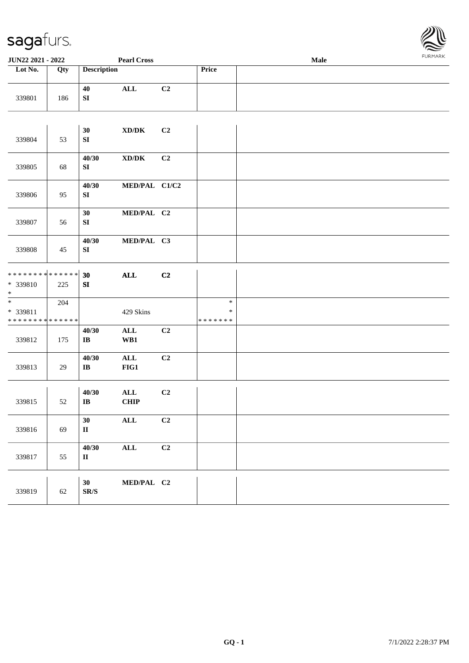

| <b>JUN22 2021 - 2022</b>                                                  |     |                              | <b>Pearl Cross</b>                  |    |                                   | <b>Male</b> |  |
|---------------------------------------------------------------------------|-----|------------------------------|-------------------------------------|----|-----------------------------------|-------------|--|
| Lot No.                                                                   | Qty | <b>Description</b>           |                                     |    | Price                             |             |  |
| 339801                                                                    | 186 | 40<br>${\bf S}{\bf I}$       | $\mathbf{ALL}$                      | C2 |                                   |             |  |
|                                                                           |     |                              |                                     |    |                                   |             |  |
| 339804                                                                    | 53  | 30<br>${\bf SI}$             | XD/DK                               | C2 |                                   |             |  |
| 339805                                                                    | 68  | 40/30<br>SI                  | $\bold{X}\bold{D}/\bold{D}\bold{K}$ | C2 |                                   |             |  |
| 339806                                                                    | 95  | 40/30<br>SI                  | MED/PAL C1/C2                       |    |                                   |             |  |
| 339807                                                                    | 56  | 30<br>${\bf SI}$             | MED/PAL C2                          |    |                                   |             |  |
| 339808                                                                    | 45  | 40/30<br>SI                  | MED/PAL C3                          |    |                                   |             |  |
| **************                                                            |     | 30                           | $\mathbf{ALL}$                      | C2 |                                   |             |  |
| * 339810<br>$\ast$                                                        | 225 | SI                           |                                     |    |                                   |             |  |
| $\overline{\ast}$<br>* 339811<br>* * * * * * * * <mark>* * * * * *</mark> | 204 |                              | 429 Skins                           |    | $\ast$<br>$\ast$<br>* * * * * * * |             |  |
| 339812                                                                    | 175 | 40/30<br>$\bf IB$            | $\mathbf{ALL}$<br>WB1               | C2 |                                   |             |  |
| 339813                                                                    | 29  | 40/30<br>$\bf{IB}$           | $\mathbf{ALL}$<br>$FIG1$            | C2 |                                   |             |  |
| 339815                                                                    | 52  | 40/30<br>$\bf IB$            | $\mathbf{ALL}$<br><b>CHIP</b>       | C2 |                                   |             |  |
| 339816                                                                    | 69  | 30<br>$\mathbf{I}\mathbf{I}$ | $\mathbf{ALL}$                      | C2 |                                   |             |  |
| 339817                                                                    | 55  | 40/30<br>$\rm II$            | $\mathbf{ALL}$                      | C2 |                                   |             |  |
| 339819                                                                    | 62  | 30<br>${\bf SR}/\bf S$       | MED/PAL C2                          |    |                                   |             |  |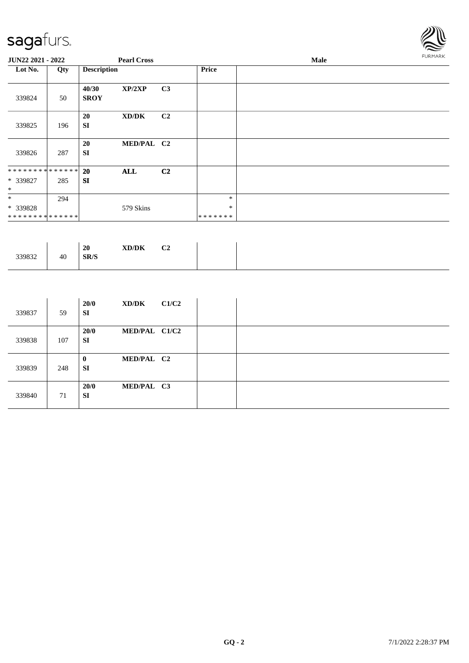

| JUN22 2021 - 2022                       |     |                      | <b>Pearl Cross</b> |                |                             | Male | FURMARK |
|-----------------------------------------|-----|----------------------|--------------------|----------------|-----------------------------|------|---------|
| Lot No.                                 | Qty | <b>Description</b>   |                    |                | <b>Price</b>                |      |         |
| 339824                                  | 50  | 40/30<br><b>SROY</b> | XP/2XP             | C <sub>3</sub> |                             |      |         |
| 339825                                  | 196 | 20<br><b>SI</b>      | XD/DK              | C <sub>2</sub> |                             |      |         |
| 339826                                  | 287 | 20<br><b>SI</b>      | MED/PAL C2         |                |                             |      |         |
| ************** 20<br>* 339827<br>$\ast$ | 285 | <b>SI</b>            | <b>ALL</b>         | C <sub>2</sub> |                             |      |         |
| $*$<br>* 339828<br>**************       | 294 |                      | 579 Skins          |                | $\ast$<br>$\ast$<br>******* |      |         |

| 339832 | 40 | 20<br>SR/S | $\bold{X}\bold{D}/\bold{D}\bold{K}$ | C <sub>2</sub> |
|--------|----|------------|-------------------------------------|----------------|
|        |    |            |                                     |                |

| 339837 | 59  | 20/0<br>SI        | XD/DK         | C1/C2 |  |
|--------|-----|-------------------|---------------|-------|--|
| 339838 | 107 | 20/0<br><b>SI</b> | MED/PAL C1/C2 |       |  |
| 339839 | 248 | $\bf{0}$<br>SI    | MED/PAL C2    |       |  |
| 339840 | 71  | 20/0<br><b>SI</b> | MED/PAL C3    |       |  |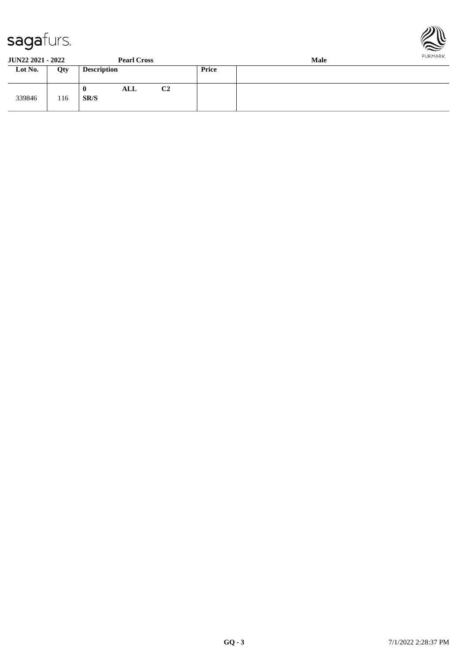



**JUN22 2021 - 2022 Pearl Cross Male Loty Description Price** 339846 116 **0 ALL C2 SR/S**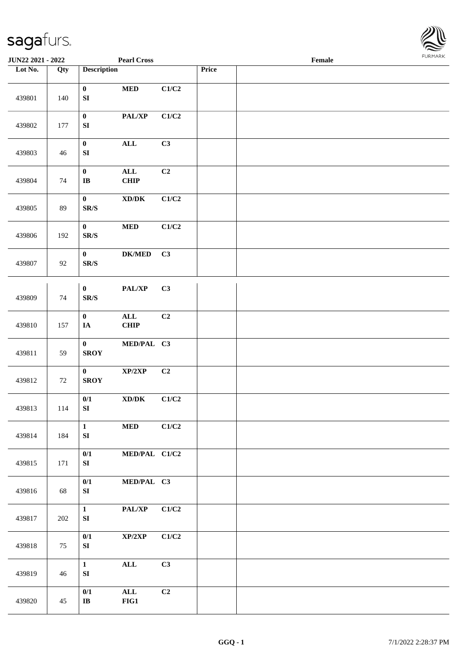

| <b>JUN22 2021 - 2022</b> |        |                                              | <b>Pearl Cross</b>                  |                           |       | Female |  |
|--------------------------|--------|----------------------------------------------|-------------------------------------|---------------------------|-------|--------|--|
| Lot No.                  | Qty    | <b>Description</b>                           |                                     |                           | Price |        |  |
| 439801                   | 140    | $\boldsymbol{0}$<br>${\bf S}{\bf I}$         | $\bf MED$                           | C1/C2                     |       |        |  |
| 439802                   | 177    | $\pmb{0}$<br>${\bf S}{\bf I}$                | PAL/XP                              | C1/C2                     |       |        |  |
| 439803                   | 46     | $\pmb{0}$<br>${\bf S}{\bf I}$                | $\mathbf{ALL}$                      | C3                        |       |        |  |
| 439804                   | 74     | $\pmb{0}$<br>$\mathbf I\mathbf B$            | $\mathbf{ALL}$<br>CHIP              | C2                        |       |        |  |
| 439805                   | 89     | $\pmb{0}$<br>$\mathbf{SR}/\mathbf{S}$        | $\bold{X}\bold{D}/\bold{D}\bold{K}$ | C1/C2                     |       |        |  |
| 439806                   | 192    | $\pmb{0}$<br>$\mathbf{SR}/\mathbf{S}$        | $\bf MED$                           | $\mathbf{C1}/\mathbf{C2}$ |       |        |  |
| 439807                   | 92     | $\bf{0}$<br>$\mathbf{SR}/\mathbf{S}$         | $DK/MED$                            | C3                        |       |        |  |
| 439809                   | $74\,$ | $\boldsymbol{0}$<br>$\mathbf{SR}/\mathbf{S}$ | PAL/XP                              | C3                        |       |        |  |
| 439810                   | 157    | $\boldsymbol{0}$<br>$\mathbf{IA}$            | $\mathbf{ALL}$<br>CHIP              | C2                        |       |        |  |
| 439811                   | 59     | $\bf{0}$<br><b>SROY</b>                      | MED/PAL C3                          |                           |       |        |  |
| 439812                   | 72     | $\bf{0}$<br><b>SROY</b>                      | XP/2XP                              | C2                        |       |        |  |
| 439813                   | 114    | 0/1<br>${\bf SI}$                            | $\boldsymbol{\text{XD}/\text{DK}}$  | C1/C2                     |       |        |  |
| 439814                   | 184    | $\mathbf{1}$<br>${\bf SI}$                   | <b>MED</b>                          | C1/C2                     |       |        |  |
| 439815                   | 171    | $0/1$<br>${\bf S}{\bf I}$                    | MED/PAL C1/C2                       |                           |       |        |  |
| 439816                   | 68     | 0/1<br>${\bf S}{\bf I}$                      | MED/PAL C3                          |                           |       |        |  |
| 439817                   | 202    | $\mathbf{1}$<br>${\bf SI}$                   | PAL/XP                              | C1/C2                     |       |        |  |
| 439818                   | 75     | 0/1<br>${\bf S}{\bf I}$                      | XP/2XP                              | C1/C2                     |       |        |  |
| 439819                   | 46     | $\mathbf{1}$<br>${\bf SI}$                   | $\mathbf{ALL}$                      | C3                        |       |        |  |
| 439820                   | 45     | 0/1<br>$\mathbf{I}\mathbf{B}$                | $\mathbf{ALL}$<br>FIG1              | C2                        |       |        |  |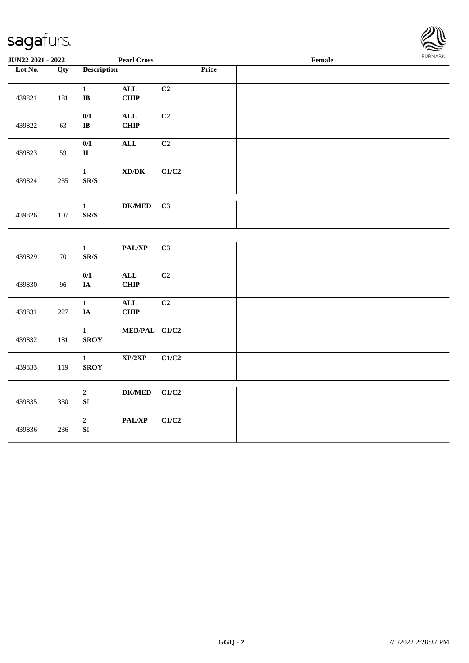

| <b>JUN22 2021 - 2022</b> |     | <b>Pearl Cross</b>          |                                     |       |       | Female | . |
|--------------------------|-----|-----------------------------|-------------------------------------|-------|-------|--------|---|
| Lot No.                  | Qty | <b>Description</b>          |                                     |       | Price |        |   |
|                          |     |                             |                                     |       |       |        |   |
|                          |     | $\mathbf{1}$                | $\mathbf{ALL}$                      | C2    |       |        |   |
| 439821                   | 181 | $\mathbf{IB}$               | <b>CHIP</b>                         |       |       |        |   |
|                          |     |                             |                                     |       |       |        |   |
|                          |     | 0/1                         | ALL                                 | C2    |       |        |   |
| 439822                   | 63  | $\mathbf I\mathbf B$        | <b>CHIP</b>                         |       |       |        |   |
|                          |     | 0/1                         | <b>ALL</b>                          | C2    |       |        |   |
| 439823                   | 59  | $\rm II$                    |                                     |       |       |        |   |
|                          |     |                             |                                     |       |       |        |   |
|                          |     | $\mathbf{1}$                | $\bold{X}\bold{D}/\bold{D}\bold{K}$ | C1/C2 |       |        |   |
| 439824                   | 235 | SR/S                        |                                     |       |       |        |   |
|                          |     |                             |                                     |       |       |        |   |
|                          |     |                             |                                     |       |       |        |   |
|                          |     | $\mathbf{1}$                | $DK/MED$                            | C3    |       |        |   |
| 439826                   | 107 | SR/S                        |                                     |       |       |        |   |
|                          |     |                             |                                     |       |       |        |   |
|                          |     |                             |                                     |       |       |        |   |
|                          |     | $\mathbf{1}$                | PAL/XP                              | C3    |       |        |   |
| 439829                   | 70  | SR/S                        |                                     |       |       |        |   |
|                          |     | 0/1                         | $\mathbf{ALL}$                      | C2    |       |        |   |
| 439830                   | 96  | $I\!\!A$                    | <b>CHIP</b>                         |       |       |        |   |
|                          |     |                             |                                     |       |       |        |   |
|                          |     | $\mathbf{1}$                | ALL                                 | C2    |       |        |   |
| 439831                   | 227 | $I\!\!A$                    | <b>CHIP</b>                         |       |       |        |   |
|                          |     |                             |                                     |       |       |        |   |
|                          |     | $\mathbf{1}$                | MED/PAL C1/C2                       |       |       |        |   |
| 439832                   | 181 | <b>SROY</b>                 |                                     |       |       |        |   |
|                          |     |                             |                                     |       |       |        |   |
| 439833                   | 119 | $\mathbf{1}$<br><b>SROY</b> | XP/2XP                              | C1/C2 |       |        |   |
|                          |     |                             |                                     |       |       |        |   |
|                          |     |                             |                                     |       |       |        |   |
|                          |     | $\mathbf 2$                 | $DK/MED$                            | C1/C2 |       |        |   |
| 439835                   | 330 | ${\bf SI}$                  |                                     |       |       |        |   |
|                          |     |                             |                                     |       |       |        |   |
|                          |     | $\mathbf 2$                 | $\mathbf{PAL}/\mathbf{XP}$          | C1/C2 |       |        |   |
| 439836                   | 236 | SI                          |                                     |       |       |        |   |
|                          |     |                             |                                     |       |       |        |   |